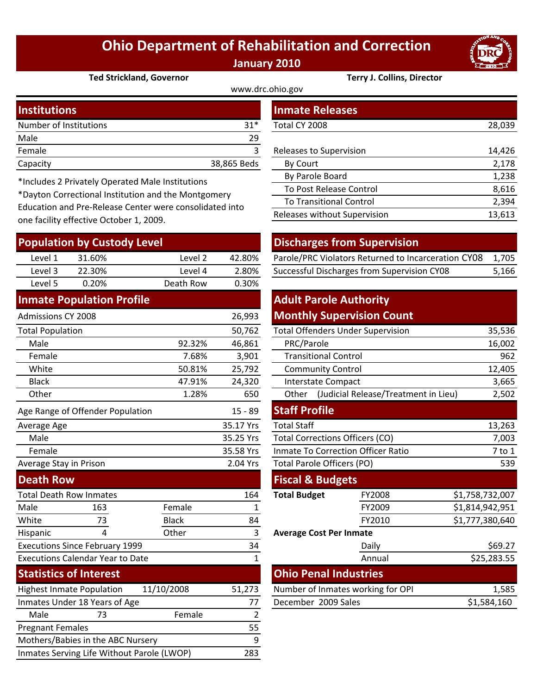## **Ohio Department of Rehabilitation and Correction January 2010**

www.drc.ohio.gov



**Ted Strickland, Governor Terry J. Collins, Director**

| <b>Institutions</b>    |             | <b>Inmate Releases</b>  |        |  |
|------------------------|-------------|-------------------------|--------|--|
| Number of Institutions | $31*$       | Total CY 2008           | 28,039 |  |
| Male                   | 29          |                         |        |  |
| Female                 |             | Releases to Supervision | 14,426 |  |
| Capacity               | 38,865 Beds | <b>By Court</b>         | 2,178  |  |
|                        |             |                         |        |  |

\*Includes 2 Privately Operated Male Institutions

\*Dayton Correctional Institution and the Montgomery Education and Pre‐Release Center were consolidated into one facility effective October 1, 2009.

| <b>Population by Custody Level</b>         |                                         |              | <b>Discharges from Supervision</b> |                                               |                                                     |                 |             |
|--------------------------------------------|-----------------------------------------|--------------|------------------------------------|-----------------------------------------------|-----------------------------------------------------|-----------------|-------------|
| Level 1                                    | 31.60%                                  | Level 2      | 42.80%                             |                                               | Parole/PRC Violators Returned to Incarceration CY08 |                 | 1,705       |
| Level 3                                    | 22.30%                                  | Level 4      | 2.80%                              |                                               | Successful Discharges from Supervision CY08         |                 | 5,166       |
| Level 5                                    | 0.20%                                   | Death Row    | 0.30%                              |                                               |                                                     |                 |             |
|                                            | <b>Inmate Population Profile</b>        |              |                                    | <b>Adult Parole Authority</b>                 |                                                     |                 |             |
| <b>Admissions CY 2008</b>                  |                                         |              | 26,993                             |                                               | <b>Monthly Supervision Count</b>                    |                 |             |
| <b>Total Population</b>                    |                                         |              | 50,762                             |                                               | <b>Total Offenders Under Supervision</b>            |                 | 35,536      |
| Male                                       |                                         | 92.32%       | 46,861                             | PRC/Parole                                    |                                                     |                 | 16,002      |
| Female                                     |                                         | 7.68%        | 3,901                              | <b>Transitional Control</b>                   |                                                     |                 | 962         |
| White                                      |                                         | 50.81%       | 25,792                             | <b>Community Control</b>                      |                                                     |                 | 12,405      |
| <b>Black</b>                               |                                         | 47.91%       | 24,320                             | <b>Interstate Compact</b>                     |                                                     |                 | 3,665       |
| Other                                      |                                         | 1.28%        | 650                                | (Judicial Release/Treatment in Lieu)<br>Other |                                                     |                 | 2,502       |
|                                            | Age Range of Offender Population        |              | $15 - 89$                          | <b>Staff Profile</b>                          |                                                     |                 |             |
| Average Age                                |                                         |              | 35.17 Yrs                          | <b>Total Staff</b>                            |                                                     |                 | 13,263      |
| Male                                       |                                         |              | 35.25 Yrs                          | <b>Total Corrections Officers (CO)</b>        |                                                     |                 | 7,003       |
| Female                                     |                                         |              | 35.58 Yrs                          | <b>Inmate To Correction Officer Ratio</b>     |                                                     |                 | 7 to 1      |
| Average Stay in Prison                     |                                         |              | 2.04 Yrs                           | <b>Total Parole Officers (PO)</b>             |                                                     |                 | 539         |
| <b>Death Row</b>                           |                                         |              |                                    | <b>Fiscal &amp; Budgets</b>                   |                                                     |                 |             |
|                                            | <b>Total Death Row Inmates</b>          |              | 164                                | <b>Total Budget</b>                           | FY2008                                              | \$1,758,732,007 |             |
| Male                                       | 163                                     | Female       | 1                                  |                                               | FY2009                                              | \$1,814,942,951 |             |
| White                                      | 73                                      | <b>Black</b> | 84                                 |                                               | FY2010                                              | \$1,777,380,640 |             |
| Hispanic                                   | 4                                       | Other        | 3                                  | <b>Average Cost Per Inmate</b>                |                                                     |                 |             |
|                                            | <b>Executions Since February 1999</b>   |              | 34                                 |                                               | Daily                                               |                 | \$69.27     |
|                                            | <b>Executions Calendar Year to Date</b> |              | $\mathbf{1}$                       |                                               | Annual                                              |                 | \$25,283.55 |
|                                            | <b>Statistics of Interest</b>           |              |                                    | <b>Ohio Penal Industries</b>                  |                                                     |                 |             |
|                                            | <b>Highest Inmate Population</b>        | 11/10/2008   | 51,273                             |                                               | Number of Inmates working for OPI                   |                 | 1,585       |
| Inmates Under 18 Years of Age              |                                         | 77           | December 2009 Sales                |                                               |                                                     | \$1,584,160     |             |
| Male                                       | 73                                      | Female       | $\overline{2}$                     |                                               |                                                     |                 |             |
| <b>Pregnant Females</b>                    |                                         |              | 55                                 |                                               |                                                     |                 |             |
|                                            | Mothers/Babies in the ABC Nursery       |              | 9                                  |                                               |                                                     |                 |             |
| Inmates Serving Life Without Parole (LWOP) |                                         |              | 283                                |                                               |                                                     |                 |             |

| <b>Inmate Releases</b>         |        |
|--------------------------------|--------|
| Total CY 2008                  | 28,039 |
|                                |        |
| Releases to Supervision        | 14,426 |
| By Court                       | 2,178  |
| By Parole Board                | 1,238  |
| <b>To Post Release Control</b> | 8,616  |
| <b>To Transitional Control</b> | 2,394  |
| Releases without Supervision   | 13,613 |

## **Discharges from Supervision**

| Level 1 | 31.60% | Level 2 | 42.80% | Parole/PRC Violators Returned to Incarceration CY08 1,705 |       |
|---------|--------|---------|--------|-----------------------------------------------------------|-------|
| Level 3 | 22.30% | Level 4 | 2.80%  | Successful Discharges from Supervision CY08               | 5,166 |

## **Adult Parole Authority Monthly Supervision Count**

|        | 50,762                    |                             | <b>Total Offenders Under Supervision</b>      | 35,536          |
|--------|---------------------------|-----------------------------|-----------------------------------------------|-----------------|
| 92.32% | 46,861                    | PRC/Parole                  | 16,002                                        |                 |
| 7.68%  | 3,901                     | <b>Transitional Control</b> | 962                                           |                 |
| 50.81% | 25,792                    | <b>Community Control</b>    | 12,405                                        |                 |
| 47.91% | 24,320                    | <b>Interstate Compact</b>   | 3,665                                         |                 |
| 1.28%  | 650                       | Other                       | 2,502<br>(Judicial Release/Treatment in Lieu) |                 |
|        | $15 - 89$                 | <b>Staff Profile</b>        |                                               |                 |
|        | 35.17 Yrs                 | <b>Total Staff</b>          |                                               | 13,263          |
|        | 35.25 Yrs                 |                             | <b>Total Corrections Officers (CO)</b>        | 7,003           |
|        | 35.58 Yrs                 |                             | <b>Inmate To Correction Officer Ratio</b>     | 7 to 1          |
|        | 2.04 Yrs                  |                             | Total Parole Officers (PO)                    | 539             |
|        |                           | <b>Fiscal &amp; Budgets</b> |                                               |                 |
|        | 164                       | <b>Total Budget</b>         | FY2008                                        | \$1,758,732,007 |
| aale   | 1                         |                             | FY2009                                        | \$1,814,942,951 |
| :k     | 84                        |                             | FY2010                                        | \$1,777,380,640 |
| er     | 3                         |                             | <b>Average Cost Per Inmate</b>                |                 |
|        | 34                        |                             | Daily                                         | \$69.27         |
|        | $\mathbf{1}$              |                             | Annual                                        | \$25,283.55     |
|        |                           |                             | <b>Ohio Penal Industries</b>                  |                 |
| 08     | 51,273                    |                             | Number of Inmates working for OPI             | 1,585           |
|        | December 2009 Sales<br>77 |                             |                                               | \$1,584,160     |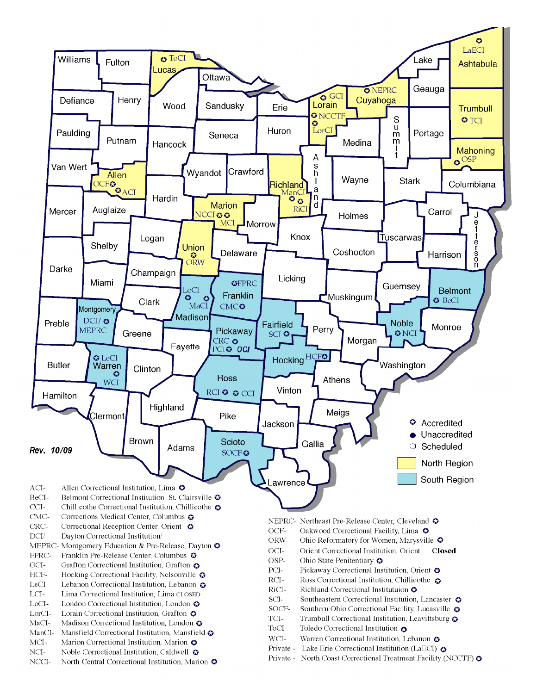